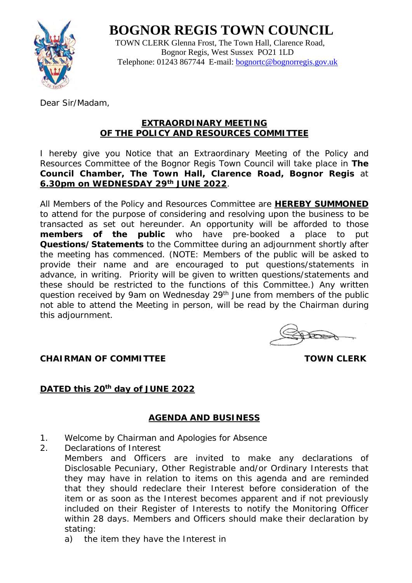# **BOGNOR REGIS TOWN COUNCIL**



 TOWN CLERK Glenna Frost, The Town Hall, Clarence Road, Bognor Regis, West Sussex PO21 1LD Telephone: 01243 867744 E-mail: [bognortc@bognorregis.gov.uk](mailto:bognortc@bognorregis.gov.uk)

Dear Sir/Madam,

### **EXTRAORDINARY MEETING OF THE POLICY AND RESOURCES COMMITTEE**

I hereby give you Notice that an Extraordinary Meeting of the Policy and Resources Committee of the Bognor Regis Town Council will take place in **The Council Chamber, The Town Hall, Clarence Road, Bognor Regis** at **6.30pm on WEDNESDAY 29th JUNE 2022**.

All Members of the Policy and Resources Committee are **HEREBY SUMMONED** to attend for the purpose of considering and resolving upon the business to be transacted as set out hereunder. An opportunity will be afforded to those **members of the public** who have pre-booked a place to put **Questions/Statements** to the Committee during an adjournment shortly after the meeting has commenced. (NOTE: Members of the public will be asked to provide their name and are encouraged to put questions/statements in advance, in writing. Priority will be given to written questions/statements and these should be restricted to the functions of this Committee.) Any written question received by 9am on Wednesday 29<sup>th</sup> June from members of the public not able to attend the Meeting in person, will be read by the Chairman during this adjournment.

**CHAIRMAN OF COMMITTEE TOWN CLERK** 

# **DATED this 20th day of JUNE 2022**

# **AGENDA AND BUSINESS**

- 1. Welcome by Chairman and Apologies for Absence
- 2. Declarations of Interest Members and Officers are invited to make any declarations of Disclosable Pecuniary, Other Registrable and/or Ordinary Interests that they may have in relation to items on this agenda and are reminded that they should redeclare their Interest before consideration of the item or as soon as the Interest becomes apparent and if not previously included on their Register of Interests to notify the Monitoring Officer within 28 days. Members and Officers should make their declaration by stating:
	- a) the item they have the Interest in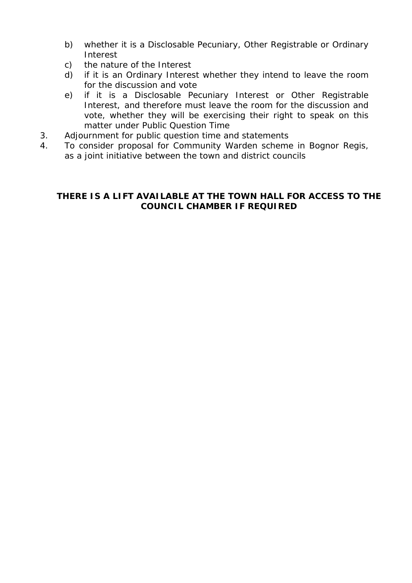- b) whether it is a Disclosable Pecuniary, Other Registrable or Ordinary Interest
- c) the nature of the Interest
- d) if it is an Ordinary Interest whether they intend to leave the room for the discussion and vote
- e) if it is a Disclosable Pecuniary Interest or Other Registrable Interest, and therefore must leave the room for the discussion and vote, whether they will be exercising their right to speak on this matter under Public Question Time
- 3. Adjournment for public question time and statements
- 4. To consider proposal for Community Warden scheme in Bognor Regis, as a joint initiative between the town and district councils

### **THERE IS A LIFT AVAILABLE AT THE TOWN HALL FOR ACCESS TO THE COUNCIL CHAMBER IF REQUIRED**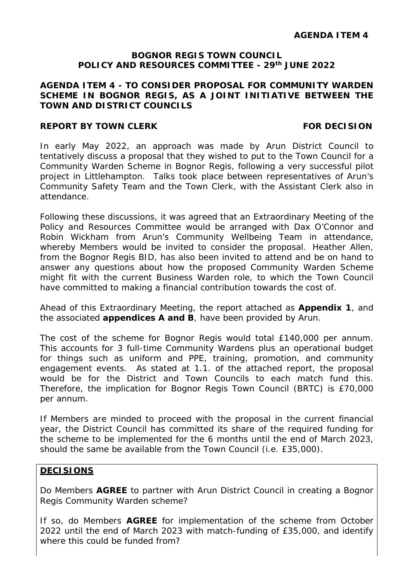#### **BOGNOR REGIS TOWN COUNCIL POLICY AND RESOURCES COMMITTEE - 29th JUNE 2022**

#### **AGENDA ITEM 4 - TO CONSIDER PROPOSAL FOR COMMUNITY WARDEN SCHEME IN BOGNOR REGIS, AS A JOINT INITIATIVE BETWEEN THE TOWN AND DISTRICT COUNCILS**

#### **REPORT BY TOWN CLERK FOR DECISION**

In early May 2022, an approach was made by Arun District Council to tentatively discuss a proposal that they wished to put to the Town Council for a Community Warden Scheme in Bognor Regis, following a very successful pilot project in Littlehampton. Talks took place between representatives of Arun's Community Safety Team and the Town Clerk, with the Assistant Clerk also in attendance.

Following these discussions, it was agreed that an Extraordinary Meeting of the Policy and Resources Committee would be arranged with Dax O'Connor and Robin Wickham from Arun's Community Wellbeing Team in attendance, whereby Members would be invited to consider the proposal. Heather Allen, from the Bognor Regis BID, has also been invited to attend and be on hand to answer any questions about how the proposed Community Warden Scheme might fit with the current Business Warden role, to which the Town Council have committed to making a financial contribution towards the cost of.

Ahead of this Extraordinary Meeting, the report attached as **Appendix 1**, and the associated **appendices A and B**, have been provided by Arun.

The cost of the scheme for Bognor Regis would total £140,000 per annum. This accounts for 3 full-time Community Wardens plus an operational budget for things such as uniform and PPE, training, promotion, and community engagement events. As stated at 1.1. of the attached report, the proposal would be for the District and Town Councils to each match fund this. Therefore, the implication for Bognor Regis Town Council (BRTC) is £70,000 per annum.

If Members are minded to proceed with the proposal in the current financial year, the District Council has committed its share of the required funding for the scheme to be implemented for the 6 months until the end of March 2023, should the same be available from the Town Council (i.e. £35,000).

#### **DECISIONS**

Do Members **AGREE** to partner with Arun District Council in creating a Bognor Regis Community Warden scheme?

If so, do Members **AGREE** for implementation of the scheme from October 2022 until the end of March 2023 with match-funding of £35,000, and identify where this could be funded from?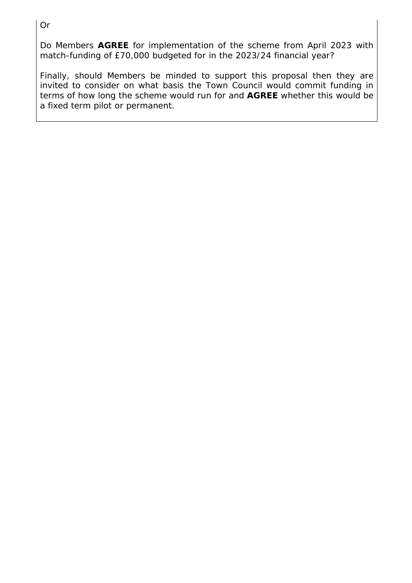Do Members **AGREE** for implementation of the scheme from April 2023 with match-funding of £70,000 budgeted for in the 2023/24 financial year?

Finally, should Members be minded to support this proposal then they are invited to consider on what basis the Town Council would commit funding in terms of how long the scheme would run for and **AGREE** whether this would be a fixed term pilot or permanent.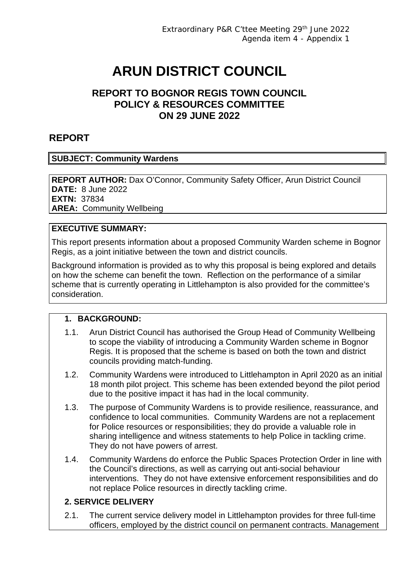# **ARUN DISTRICT COUNCIL**

# **REPORT TO BOGNOR REGIS TOWN COUNCIL POLICY & RESOURCES COMMITTEE ON 29 JUNE 2022**

# **REPORT**

#### **SUBJECT: Community Wardens**

**REPORT AUTHOR:** Dax O'Connor, Community Safety Officer, Arun District Council **DATE:** 8 June 2022 **EXTN:** 37834 **AREA:** Community Wellbeing

#### **EXECUTIVE SUMMARY:**

This report presents information about a proposed Community Warden scheme in Bognor Regis, as a joint initiative between the town and district councils.

Background information is provided as to why this proposal is being explored and details on how the scheme can benefit the town. Reflection on the performance of a similar scheme that is currently operating in Littlehampton is also provided for the committee's consideration.

#### **1. BACKGROUND:**

- 1.1. Arun District Council has authorised the Group Head of Community Wellbeing to scope the viability of introducing a Community Warden scheme in Bognor Regis. It is proposed that the scheme is based on both the town and district councils providing match-funding.
- 1.2. Community Wardens were introduced to Littlehampton in April 2020 as an initial 18 month pilot project. This scheme has been extended beyond the pilot period due to the positive impact it has had in the local community.
- 1.3. The purpose of Community Wardens is to provide resilience, reassurance, and confidence to local communities. Community Wardens are not a replacement for Police resources or responsibilities; they do provide a valuable role in sharing intelligence and witness statements to help Police in tackling crime. They do not have powers of arrest.
- 1.4. Community Wardens do enforce the Public Spaces Protection Order in line with the Council's directions, as well as carrying out anti-social behaviour interventions. They do not have extensive enforcement responsibilities and do not replace Police resources in directly tackling crime.

## **2. SERVICE DELIVERY**

2.1. The current service delivery model in Littlehampton provides for three full-time officers, employed by the district council on permanent contracts. Management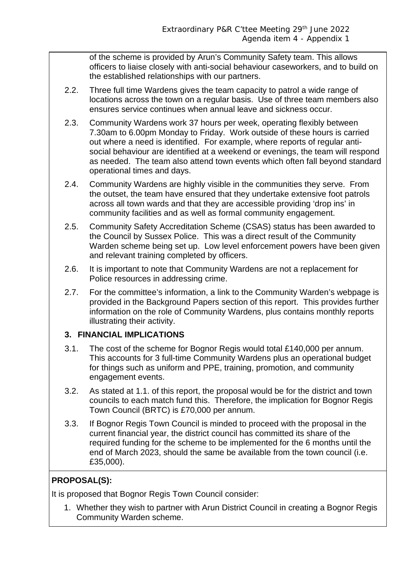of the scheme is provided by Arun's Community Safety team. This allows officers to liaise closely with anti-social behaviour caseworkers, and to build on the established relationships with our partners.

- 2.2. Three full time Wardens gives the team capacity to patrol a wide range of locations across the town on a regular basis. Use of three team members also ensures service continues when annual leave and sickness occur.
- 2.3. Community Wardens work 37 hours per week, operating flexibly between 7.30am to 6.00pm Monday to Friday. Work outside of these hours is carried out where a need is identified. For example, where reports of regular antisocial behaviour are identified at a weekend or evenings, the team will respond as needed. The team also attend town events which often fall beyond standard operational times and days.
- 2.4. Community Wardens are highly visible in the communities they serve. From the outset, the team have ensured that they undertake extensive foot patrols across all town wards and that they are accessible providing 'drop ins' in community facilities and as well as formal community engagement.
- 2.5. Community Safety Accreditation Scheme (CSAS) status has been awarded to the Council by Sussex Police. This was a direct result of the Community Warden scheme being set up. Low level enforcement powers have been given and relevant training completed by officers.
- 2.6. It is important to note that Community Wardens are not a replacement for Police resources in addressing crime.
- 2.7. For the committee's information, a link to the Community Warden's webpage is provided in the Background Papers section of this report. This provides further information on the role of Community Wardens, plus contains monthly reports illustrating their activity.

#### **3. FINANCIAL IMPLICATIONS**

- 3.1. The cost of the scheme for Bognor Regis would total £140,000 per annum. This accounts for 3 full-time Community Wardens plus an operational budget for things such as uniform and PPE, training, promotion, and community engagement events.
- 3.2. As stated at 1.1. of this report, the proposal would be for the district and town councils to each match fund this. Therefore, the implication for Bognor Regis Town Council (BRTC) is £70,000 per annum.
- 3.3. If Bognor Regis Town Council is minded to proceed with the proposal in the current financial year, the district council has committed its share of the required funding for the scheme to be implemented for the 6 months until the end of March 2023, should the same be available from the town council (i.e. £35,000).

# **PROPOSAL(S):**

It is proposed that Bognor Regis Town Council consider:

1. Whether they wish to partner with Arun District Council in creating a Bognor Regis Community Warden scheme.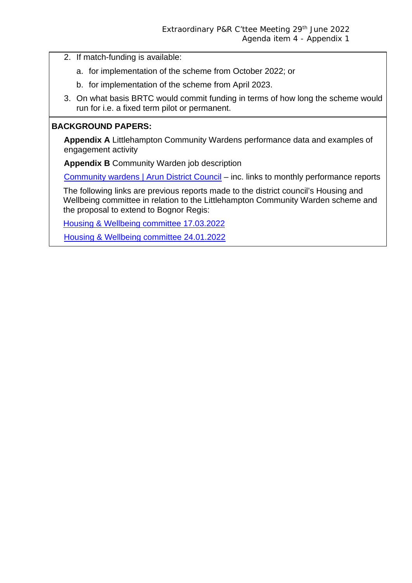- 2. If match-funding is available:
	- a. for implementation of the scheme from October 2022; or
	- b. for implementation of the scheme from April 2023.
- 3. On what basis BRTC would commit funding in terms of how long the scheme would run for i.e. a fixed term pilot or permanent.

#### **BACKGROUND PAPERS:**

**Appendix A** Littlehampton Community Wardens performance data and examples of engagement activity

**Appendix B** Community Warden job description

Community wardens | Arun District Council – inc. links to monthly performance reports

The following links are previous reports made to the district council's Housing and Wellbeing committee in relation to the Littlehampton Community Warden scheme and the proposal to extend to Bognor Regis:

Housing & Wellbeing committee 17.03.2022

Housing & Wellbeing committee 24.01.2022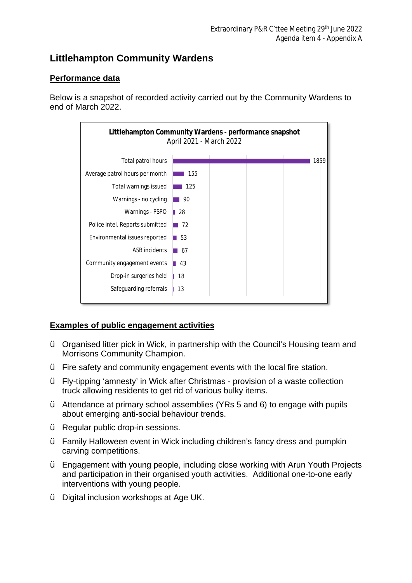# **Littlehampton Community Wardens**

## **Performance data**

Below is a snapshot of recorded activity carried out by the Community Wardens to end of March 2022.



#### **Examples of public engagement activities**

- $\ddot{\mathbf{v}}$  Organised litter pick in Wick, in partnership with the Council's Housing team and Morrisons Community Champion.
- Ÿ Fire safety and community engagement events with the local fire station.
- Ÿ Fly-tipping 'amnesty' in Wick after Christmas provision of a waste collection truck allowing residents to get rid of various bulky items.
- Ÿ Attendance at primary school assemblies (YRs 5 and 6) to engage with pupils about emerging anti-social behaviour trends.
- Ÿ Regular public drop-in sessions.
- Ÿ Family Halloween event in Wick including children's fancy dress and pumpkin carving competitions.
- Ÿ Engagement with young people, including close working with Arun Youth Projects and participation in their organised youth activities. Additional one-to-one early interventions with young people.
- Ÿ Digital inclusion workshops at Age UK.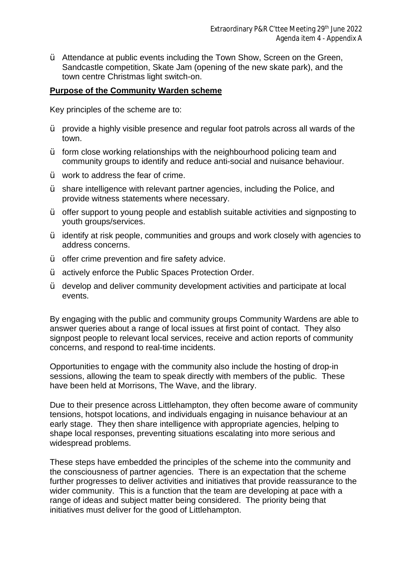$\ddot{\mathbf{y}}$  Attendance at public events including the Town Show, Screen on the Green, Sandcastle competition, Skate Jam (opening of the new skate park), and the town centre Christmas light switch-on.

#### **Purpose of the Community Warden scheme**

Key principles of the scheme are to:

- $\ddot{\mathbf{v}}$  provide a highly visible presence and regular foot patrols across all wards of the town.
- $\ddot{\mathbf{y}}$  form close working relationships with the neighbourhood policing team and community groups to identify and reduce anti-social and nuisance behaviour.
- $\ddot{\mathbf{v}}$  work to address the fear of crime.
- Ÿ share intelligence with relevant partner agencies, including the Police, and provide witness statements where necessary.
- Ÿ offer support to young people and establish suitable activities and signposting to youth groups/services.
- Ÿ identify at risk people, communities and groups and work closely with agencies to address concerns.
- $\ddot{\mathbf{v}}$  offer crime prevention and fire safety advice.
- $\dot{Y}$  actively enforce the Public Spaces Protection Order.
- Ÿ develop and deliver community development activities and participate at local events.

By engaging with the public and community groups Community Wardens are able to answer queries about a range of local issues at first point of contact. They also signpost people to relevant local services, receive and action reports of community concerns, and respond to real-time incidents.

Opportunities to engage with the community also include the hosting of drop-in sessions, allowing the team to speak directly with members of the public. These have been held at Morrisons, The Wave, and the library.

Due to their presence across Littlehampton, they often become aware of community tensions, hotspot locations, and individuals engaging in nuisance behaviour at an early stage. They then share intelligence with appropriate agencies, helping to shape local responses, preventing situations escalating into more serious and widespread problems.

These steps have embedded the principles of the scheme into the community and the consciousness of partner agencies. There is an expectation that the scheme further progresses to deliver activities and initiatives that provide reassurance to the wider community. This is a function that the team are developing at pace with a range of ideas and subject matter being considered. The priority being that initiatives must deliver for the good of Littlehampton.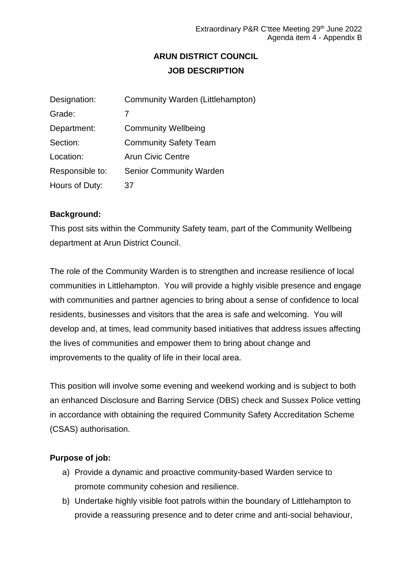# **ARUN DISTRICT COUNCIL JOB DESCRIPTION**

| Designation:    | Community Warden (Littlehampton) |
|-----------------|----------------------------------|
| Grade:          | 7                                |
| Department:     | <b>Community Wellbeing</b>       |
| Section:        | <b>Community Safety Team</b>     |
| Location:       | <b>Arun Civic Centre</b>         |
| Responsible to: | <b>Senior Community Warden</b>   |
| Hours of Duty:  | 37                               |

#### **Background:**

This post sits within the Community Safety team, part of the Community Wellbeing department at Arun District Council.

The role of the Community Warden is to strengthen and increase resilience of local communities in Littlehampton. You will provide a highly visible presence and engage with communities and partner agencies to bring about a sense of confidence to local residents, businesses and visitors that the area is safe and welcoming. You will develop and, at times, lead community based initiatives that address issues affecting the lives of communities and empower them to bring about change and improvements to the quality of life in their local area.

This position will involve some evening and weekend working and is subject to both an enhanced Disclosure and Barring Service (DBS) check and Sussex Police vetting in accordance with obtaining the required Community Safety Accreditation Scheme (CSAS) authorisation.

#### **Purpose of job:**

- a) Provide a dynamic and proactive community-based Warden service to promote community cohesion and resilience.
- b) Undertake highly visible foot patrols within the boundary of Littlehampton to provide a reassuring presence and to deter crime and anti-social behaviour,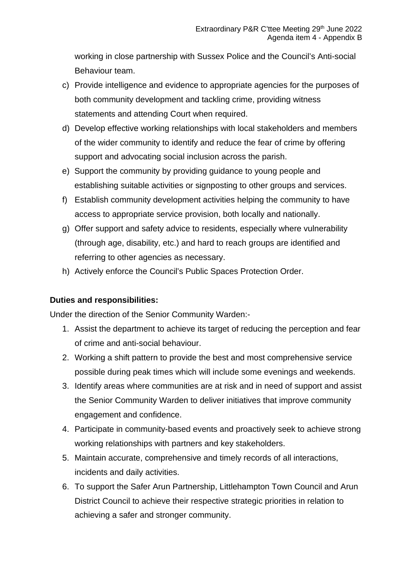working in close partnership with Sussex Police and the Council's Anti-social Behaviour team.

- c) Provide intelligence and evidence to appropriate agencies for the purposes of both community development and tackling crime, providing witness statements and attending Court when required.
- d) Develop effective working relationships with local stakeholders and members of the wider community to identify and reduce the fear of crime by offering support and advocating social inclusion across the parish.
- e) Support the community by providing guidance to young people and establishing suitable activities or signposting to other groups and services.
- f) Establish community development activities helping the community to have access to appropriate service provision, both locally and nationally.
- g) Offer support and safety advice to residents, especially where vulnerability (through age, disability, etc.) and hard to reach groups are identified and referring to other agencies as necessary.
- h) Actively enforce the Council's Public Spaces Protection Order.

#### **Duties and responsibilities:**

Under the direction of the Senior Community Warden:-

- 1. Assist the department to achieve its target of reducing the perception and fear of crime and anti-social behaviour.
- 2. Working a shift pattern to provide the best and most comprehensive service possible during peak times which will include some evenings and weekends.
- 3. Identify areas where communities are at risk and in need of support and assist the Senior Community Warden to deliver initiatives that improve community engagement and confidence.
- 4. Participate in community-based events and proactively seek to achieve strong working relationships with partners and key stakeholders.
- 5. Maintain accurate, comprehensive and timely records of all interactions, incidents and daily activities.
- 6. To support the Safer Arun Partnership, Littlehampton Town Council and Arun District Council to achieve their respective strategic priorities in relation to achieving a safer and stronger community.